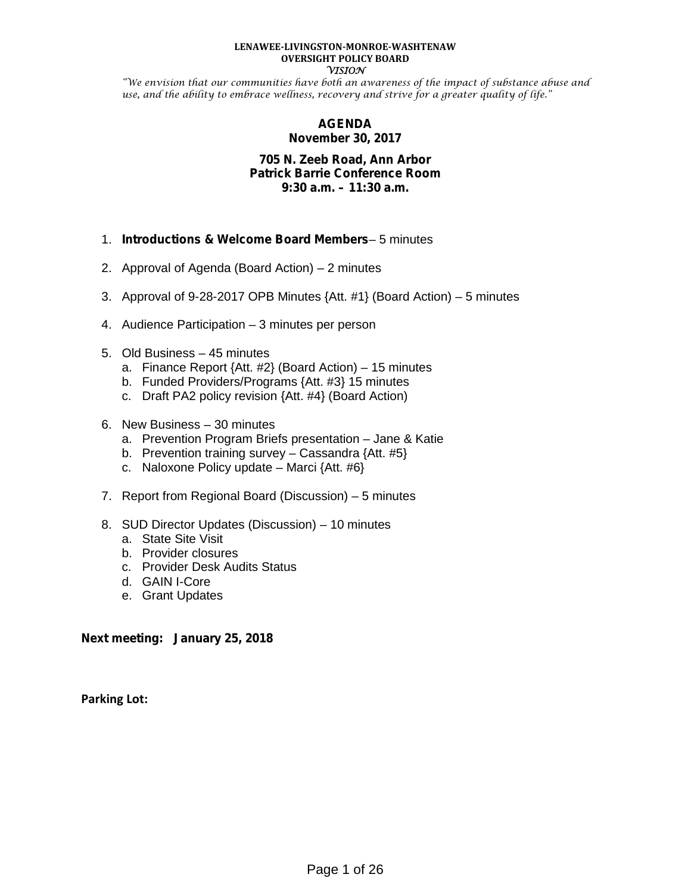#### **LENAWEE-LIVINGSTON-MONROE-WASHTENAW OVERSIGHT POLICY BOARD VISION**

"We envision that our communities have both an awareness of the impact of substance abuse and use, and the ability to embrace wellness, recovery and strive for a greater quality of life."

## **AGENDA November 30, 2017**

#### **705 N. Zeeb Road, Ann Arbor Patrick Barrie Conference Room 9:30 a.m. – 11:30 a.m.**

- 1. *Introductions & Welcome Board Members* 5 minutes
- 2. Approval of Agenda (Board Action) 2 minutes
- 3. Approval of 9-28-2017 OPB Minutes {Att. #1} (Board Action) 5 minutes
- 4. Audience Participation 3 minutes per person
- 5. Old Business 45 minutes
	- a. Finance Report {Att. #2} (Board Action) 15 minutes
	- b. Funded Providers/Programs {Att. #3} 15 minutes
	- c. Draft PA2 policy revision {Att. #4} (Board Action)
- 6. New Business 30 minutes
	- a. Prevention Program Briefs presentation Jane & Katie
	- b. Prevention training survey Cassandra  $\{Att. #5\}$
	- c. Naloxone Policy update Marci  $\{Att. #6\}$
- 7. Report from Regional Board (Discussion) 5 minutes
- 8. SUD Director Updates (Discussion) 10 minutes
	- a. State Site Visit
	- b. Provider closures
	- c. Provider Desk Audits Status
	- d. GAIN I-Core
	- e. Grant Updates

**Next meeting: January 25, 2018**

**Parking Lot:**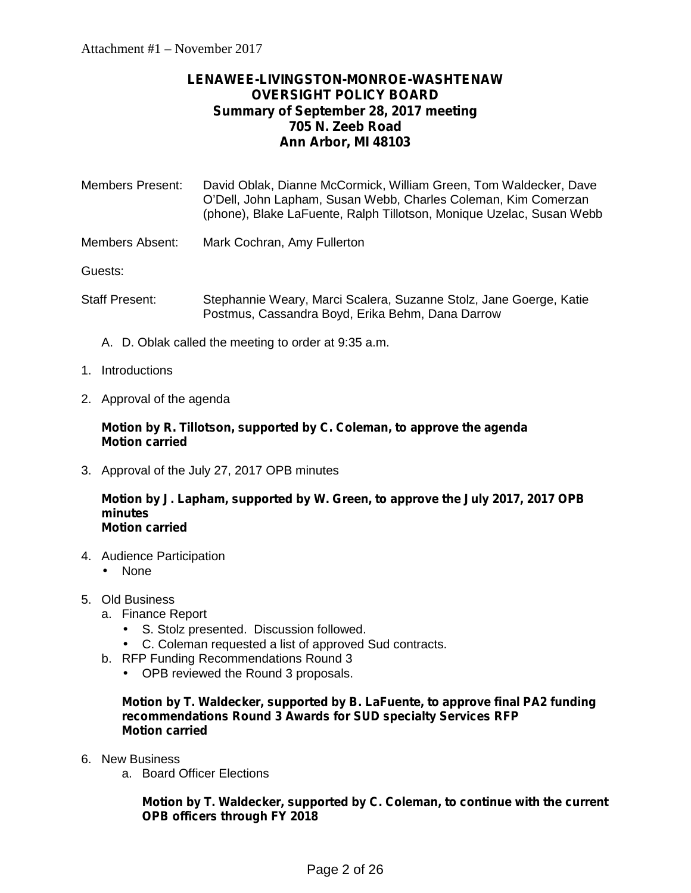# **LENAWEE-LIVINGSTON-MONROE-WASHTENAW OVERSIGHT POLICY BOARD Summary of September 28, 2017 meeting 705 N. Zeeb Road Ann Arbor, MI 48103**

| <b>Members Present:</b>    | David Oblak, Dianne McCormick, William Green, Tom Waldecker, Dave<br>O'Dell, John Lapham, Susan Webb, Charles Coleman, Kim Comerzan<br>(phone), Blake LaFuente, Ralph Tillotson, Monique Uzelac, Susan Webb |
|----------------------------|-------------------------------------------------------------------------------------------------------------------------------------------------------------------------------------------------------------|
| المتمدح المستحمل والمستحلة | $M = \frac{1}{2}$                                                                                                                                                                                           |

Members Absent: Mark Cochran, Amy Fullerton

Guests:

- Staff Present: Stephannie Weary, Marci Scalera, Suzanne Stolz, Jane Goerge, Katie Postmus, Cassandra Boyd, Erika Behm, Dana Darrow
	- A. D. Oblak called the meeting to order at 9:35 a.m.
- 1. Introductions
- 2. Approval of the agenda

**Motion by R. Tillotson, supported by C. Coleman, to approve the agenda Motion carried**

3. Approval of the July 27, 2017 OPB minutes

#### **Motion by J. Lapham, supported by W. Green, to approve the July 2017, 2017 OPB minutes Motion carried**

- 4. Audience Participation
	- ) None
- 5. Old Business
	- a. Finance Report
		- S. Stolz presented. Discussion followed.
		- C. Coleman requested a list of approved Sud contracts.
	- b. RFP Funding Recommendations Round 3
		- OPB reviewed the Round 3 proposals.

**Motion by T. Waldecker, supported by B. LaFuente, to approve final PA2 funding recommendations Round 3 Awards for SUD specialty Services RFP Motion carried**

- 6. New Business
	- a. Board Officer Elections

**Motion by T. Waldecker, supported by C. Coleman, to continue with the current OPB officers through FY 2018**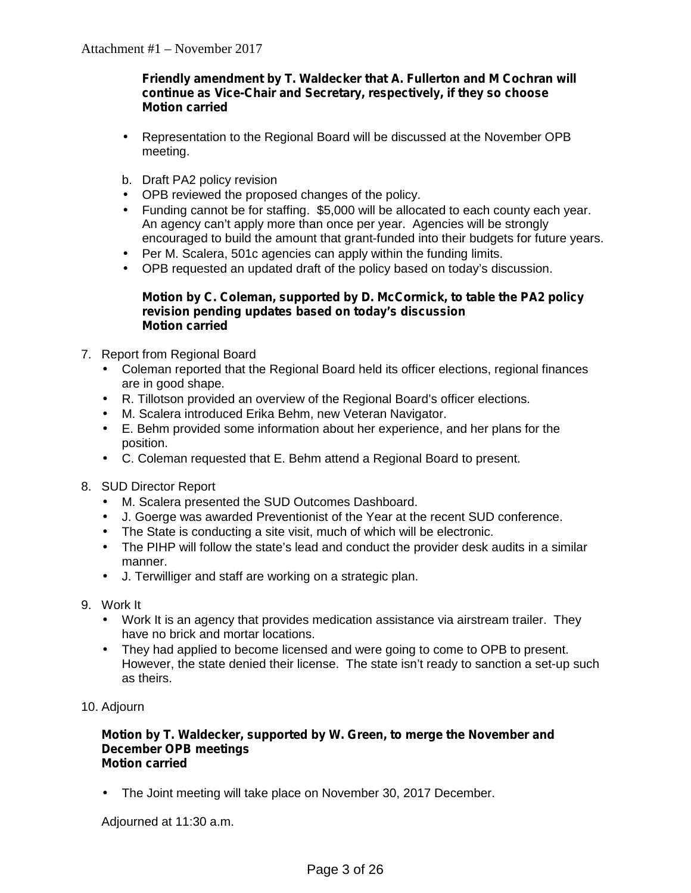## **Friendly amendment by T. Waldecker that A. Fullerton and M Cochran will continue as Vice-Chair and Secretary, respectively, if they so choose Motion carried**

- Representation to the Regional Board will be discussed at the November OPB meeting.
- b. Draft PA2 policy revision
- OPB reviewed the proposed changes of the policy.
- Funding cannot be for staffing. \$5,000 will be allocated to each county each year. An agency can't apply more than once per year. Agencies will be strongly encouraged to build the amount that grant-funded into their budgets for future years.
- Per M. Scalera, 501c agencies can apply within the funding limits.
- OPB requested an updated draft of the policy based on today's discussion.

#### **Motion by C. Coleman, supported by D. McCormick, to table the PA2 policy revision pending updates based on today's discussion Motion carried**

- 7. Report from Regional Board
	- Coleman reported that the Regional Board held its officer elections, regional finances are in good shape.
		- R. Tillotson provided an overview of the Regional Board's officer elections.
		- M. Scalera introduced Erika Behm, new Veteran Navigator.
	- E. Behm provided some information about her experience, and her plans for the position.
	- C. Coleman requested that E. Behm attend a Regional Board to present.
- 8. SUD Director Report
	- M. Scalera presented the SUD Outcomes Dashboard.
	- J. Goerge was awarded Preventionist of the Year at the recent SUD conference.
	- The State is conducting a site visit, much of which will be electronic.
	- The PIHP will follow the state's lead and conduct the provider desk audits in a similar manner.
	- J. Terwilliger and staff are working on a strategic plan.
- 9. Work It
	- Work It is an agency that provides medication assistance via airstream trailer. They have no brick and mortar locations.
	- They had applied to become licensed and were going to come to OPB to present. However, the state denied their license. The state isn't ready to sanction a set-up such as theirs.
- 10. Adjourn

#### **Motion by T. Waldecker, supported by W. Green, to merge the November and December OPB meetings Motion carried**

The Joint meeting will take place on November 30, 2017 December.

Adjourned at 11:30 a.m.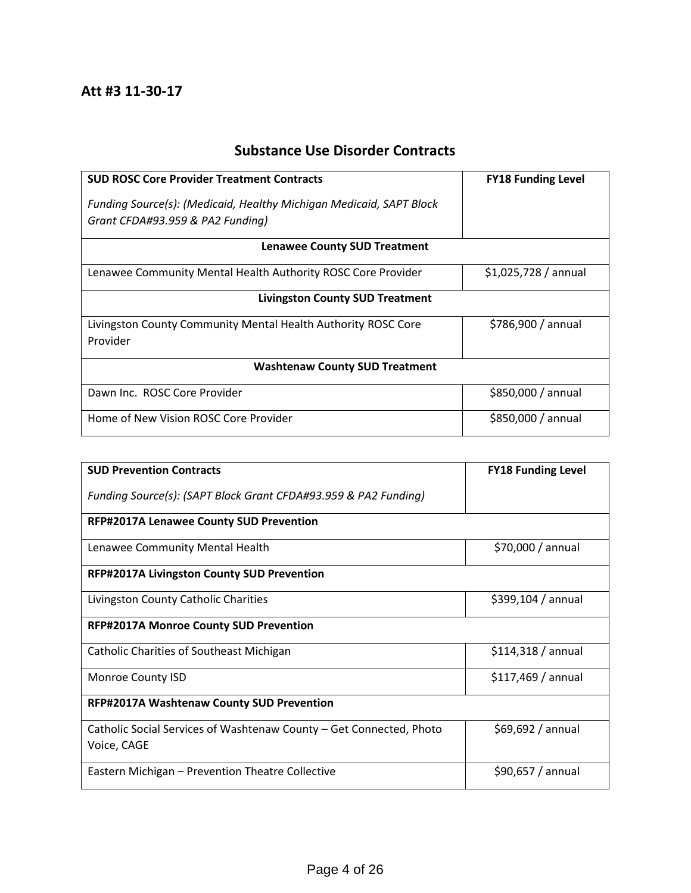# **Substance Use Disorder Contracts**

| <b>SUD ROSC Core Provider Treatment Contracts</b>                                                       | <b>FY18 Funding Level</b> |  |  |
|---------------------------------------------------------------------------------------------------------|---------------------------|--|--|
| Funding Source(s): (Medicaid, Healthy Michigan Medicaid, SAPT Block<br>Grant CFDA#93.959 & PA2 Funding) |                           |  |  |
| <b>Lenawee County SUD Treatment</b>                                                                     |                           |  |  |
| Lenawee Community Mental Health Authority ROSC Core Provider                                            | $$1,025,728/$ annual      |  |  |
| <b>Livingston County SUD Treatment</b>                                                                  |                           |  |  |
| Livingston County Community Mental Health Authority ROSC Core<br>Provider                               | \$786,900 / annual        |  |  |
| <b>Washtenaw County SUD Treatment</b>                                                                   |                           |  |  |
| Dawn Inc. ROSC Core Provider                                                                            | \$850,000 / annual        |  |  |
| Home of New Vision ROSC Core Provider                                                                   | \$850,000 / annual        |  |  |

| <b>SUD Prevention Contracts</b>                                                    | <b>FY18 Funding Level</b> |  |  |
|------------------------------------------------------------------------------------|---------------------------|--|--|
| Funding Source(s): (SAPT Block Grant CFDA#93.959 & PA2 Funding)                    |                           |  |  |
| <b>RFP#2017A Lenawee County SUD Prevention</b>                                     |                           |  |  |
| Lenawee Community Mental Health                                                    | $$70,000 /$ annual        |  |  |
| <b>RFP#2017A Livingston County SUD Prevention</b>                                  |                           |  |  |
| Livingston County Catholic Charities                                               | $$399,104 /$ annual       |  |  |
| <b>RFP#2017A Monroe County SUD Prevention</b>                                      |                           |  |  |
| <b>Catholic Charities of Southeast Michigan</b>                                    | \$114,318/annual          |  |  |
| Monroe County ISD                                                                  | \$117,469/annual          |  |  |
| RFP#2017A Washtenaw County SUD Prevention                                          |                           |  |  |
| Catholic Social Services of Washtenaw County - Get Connected, Photo<br>Voice, CAGE | \$69,692/annual           |  |  |
| Eastern Michigan - Prevention Theatre Collective                                   | \$90,657 / annual         |  |  |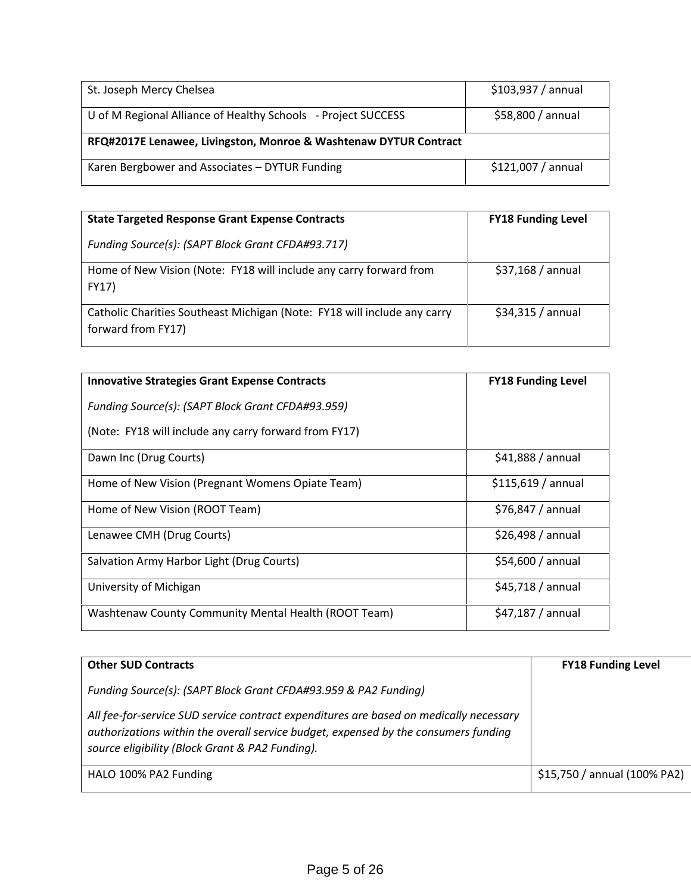| St. Joseph Mercy Chelsea                                         | $$103,937 /$ annual |  |  |
|------------------------------------------------------------------|---------------------|--|--|
| U of M Regional Alliance of Healthy Schools - Project SUCCESS    | \$58,800 / annual   |  |  |
| RFQ#2017E Lenawee, Livingston, Monroe & Washtenaw DYTUR Contract |                     |  |  |
| Karen Bergbower and Associates - DYTUR Funding                   | \$121,007 / annual  |  |  |

| <b>State Targeted Response Grant Expense Contracts</b>                                         | <b>FY18 Funding Level</b> |
|------------------------------------------------------------------------------------------------|---------------------------|
| Funding Source(s): (SAPT Block Grant CFDA#93.717)                                              |                           |
| Home of New Vision (Note: FY18 will include any carry forward from<br>FY17)                    | \$37,168/annual           |
| Catholic Charities Southeast Michigan (Note: FY18 will include any carry<br>forward from FY17) | \$34,315/annual           |

| <b>Innovative Strategies Grant Expense Contracts</b>  | <b>FY18 Funding Level</b> |
|-------------------------------------------------------|---------------------------|
| Funding Source(s): (SAPT Block Grant CFDA#93.959)     |                           |
| (Note: FY18 will include any carry forward from FY17) |                           |
| Dawn Inc (Drug Courts)                                | \$41,888/annual           |
| Home of New Vision (Pregnant Womens Opiate Team)      | \$115,619/annual          |
| Home of New Vision (ROOT Team)                        | $$76,847 /$ annual        |
| Lenawee CMH (Drug Courts)                             | \$26,498/annual           |
| Salvation Army Harbor Light (Drug Courts)             | \$54,600 / annual         |
| University of Michigan                                | \$45,718/annual           |
| Washtenaw County Community Mental Health (ROOT Team)  | \$47,187 / annual         |

| <b>Other SUD Contracts</b>                                                                                                                                                                                                       | <b>FY18 Funding Level</b>    |
|----------------------------------------------------------------------------------------------------------------------------------------------------------------------------------------------------------------------------------|------------------------------|
| Funding Source(s): (SAPT Block Grant CFDA#93.959 & PA2 Funding)                                                                                                                                                                  |                              |
| All fee-for-service SUD service contract expenditures are based on medically necessary<br>authorizations within the overall service budget, expensed by the consumers funding<br>source eligibility (Block Grant & PA2 Funding). |                              |
| HALO 100% PA2 Funding                                                                                                                                                                                                            | \$15,750 / annual (100% PA2) |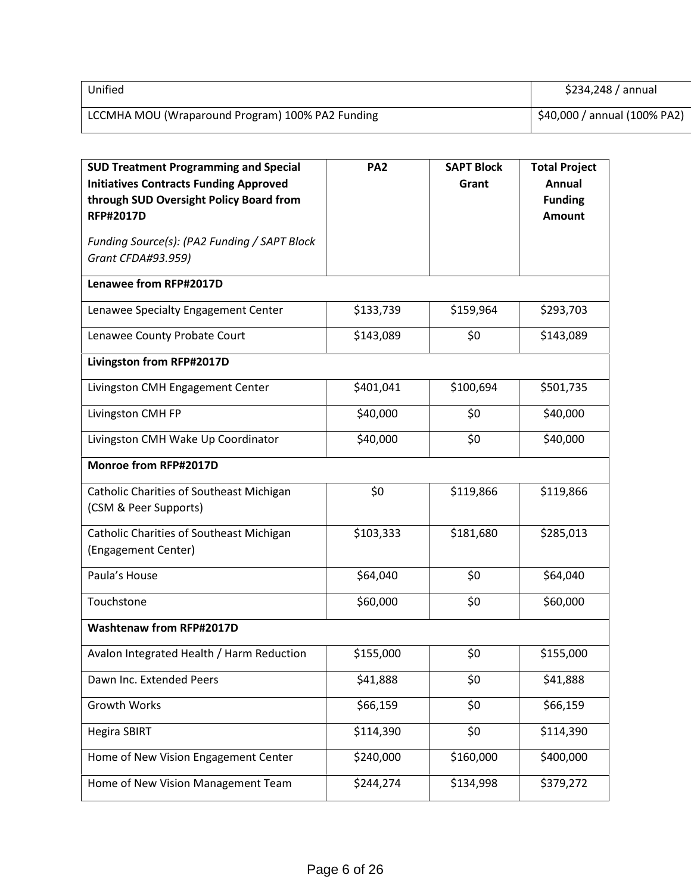| Unified                                          | $$234,248 /$ annual          |
|--------------------------------------------------|------------------------------|
| LCCMHA MOU (Wraparound Program) 100% PA2 Funding | \$40,000 / annual (100% PA2) |

| <b>SUD Treatment Programming and Special</b><br><b>Initiatives Contracts Funding Approved</b><br>through SUD Oversight Policy Board from<br><b>RFP#2017D</b><br>Funding Source(s): (PA2 Funding / SAPT Block<br>Grant CFDA#93.959) | PA <sub>2</sub> | <b>SAPT Block</b><br>Grant | <b>Total Project</b><br>Annual<br><b>Funding</b><br><b>Amount</b> |
|------------------------------------------------------------------------------------------------------------------------------------------------------------------------------------------------------------------------------------|-----------------|----------------------------|-------------------------------------------------------------------|
| Lenawee from RFP#2017D                                                                                                                                                                                                             |                 |                            |                                                                   |
| Lenawee Specialty Engagement Center                                                                                                                                                                                                | \$133,739       | \$159,964                  | \$293,703                                                         |
|                                                                                                                                                                                                                                    |                 |                            |                                                                   |
| Lenawee County Probate Court                                                                                                                                                                                                       | \$143,089       | \$0                        | \$143,089                                                         |
| Livingston from RFP#2017D                                                                                                                                                                                                          |                 |                            |                                                                   |
| Livingston CMH Engagement Center                                                                                                                                                                                                   | \$401,041       | \$100,694                  | \$501,735                                                         |
| Livingston CMH FP                                                                                                                                                                                                                  | \$40,000        | \$0                        | \$40,000                                                          |
| Livingston CMH Wake Up Coordinator                                                                                                                                                                                                 | \$40,000        | \$0\$                      | \$40,000                                                          |
| Monroe from RFP#2017D                                                                                                                                                                                                              |                 |                            |                                                                   |
| Catholic Charities of Southeast Michigan<br>(CSM & Peer Supports)                                                                                                                                                                  | \$0             | \$119,866                  | \$119,866                                                         |
| Catholic Charities of Southeast Michigan<br>(Engagement Center)                                                                                                                                                                    | \$103,333       | \$181,680                  | \$285,013                                                         |
| Paula's House                                                                                                                                                                                                                      | \$64,040        | \$0                        | \$64,040                                                          |
| Touchstone                                                                                                                                                                                                                         | \$60,000        | \$0\$                      | \$60,000                                                          |
| <b>Washtenaw from RFP#2017D</b>                                                                                                                                                                                                    |                 |                            |                                                                   |
| Avalon Integrated Health / Harm Reduction                                                                                                                                                                                          | \$155,000       | \$0                        | \$155,000                                                         |
| Dawn Inc. Extended Peers                                                                                                                                                                                                           | \$41,888        | \$0                        | \$41,888                                                          |
| Growth Works                                                                                                                                                                                                                       | \$66,159        | \$0                        | \$66,159                                                          |
| <b>Hegira SBIRT</b>                                                                                                                                                                                                                | \$114,390       | \$0                        | \$114,390                                                         |
| Home of New Vision Engagement Center                                                                                                                                                                                               | \$240,000       | \$160,000                  | \$400,000                                                         |
| Home of New Vision Management Team                                                                                                                                                                                                 | \$244,274       | \$134,998                  | \$379,272                                                         |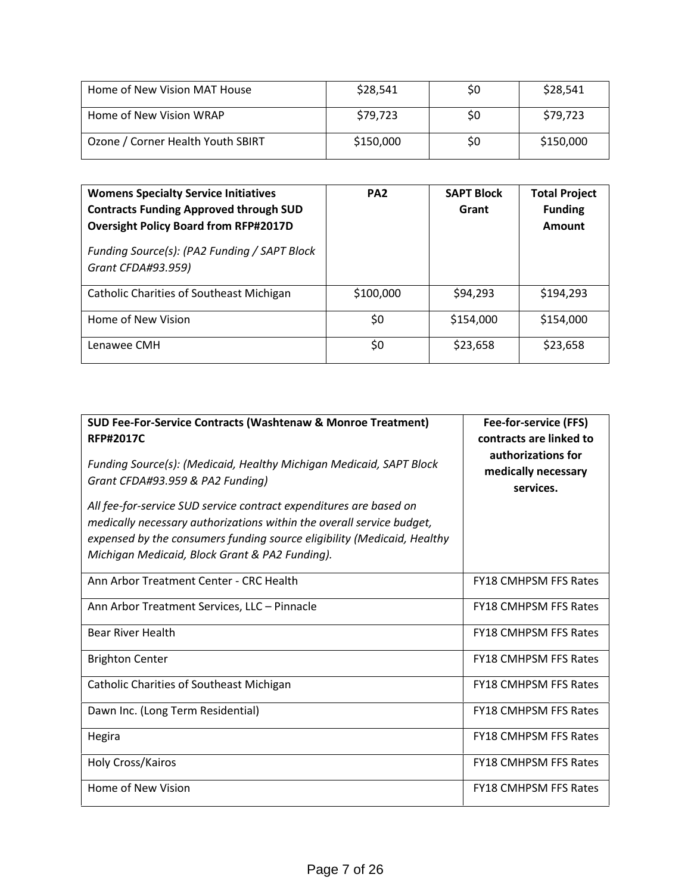| Home of New Vision MAT House      | \$28,541  | S0 | \$28,541  |
|-----------------------------------|-----------|----|-----------|
| Home of New Vision WRAP           | \$79,723  | S0 | \$79.723  |
| Ozone / Corner Health Youth SBIRT | \$150,000 | S0 | \$150,000 |

| <b>Womens Specialty Service Initiatives</b><br><b>Contracts Funding Approved through SUD</b><br><b>Oversight Policy Board from RFP#2017D</b><br>Funding Source(s): (PA2 Funding / SAPT Block<br>Grant CFDA#93.959) | PA <sub>2</sub> | <b>SAPT Block</b><br>Grant | <b>Total Project</b><br><b>Funding</b><br>Amount |
|--------------------------------------------------------------------------------------------------------------------------------------------------------------------------------------------------------------------|-----------------|----------------------------|--------------------------------------------------|
| <b>Catholic Charities of Southeast Michigan</b>                                                                                                                                                                    | \$100,000       | \$94,293                   | \$194,293                                        |
| Home of New Vision                                                                                                                                                                                                 | \$0             | \$154,000                  | \$154,000                                        |
| Lenawee CMH                                                                                                                                                                                                        | \$0             | \$23,658                   | \$23,658                                         |

| SUD Fee-For-Service Contracts (Washtenaw & Monroe Treatment)<br><b>RFP#2017C</b>                                                                                                                                                                                         | Fee-for-service (FFS)<br>contracts are linked to       |  |  |
|--------------------------------------------------------------------------------------------------------------------------------------------------------------------------------------------------------------------------------------------------------------------------|--------------------------------------------------------|--|--|
| Funding Source(s): (Medicaid, Healthy Michigan Medicaid, SAPT Block<br>Grant CFDA#93.959 & PA2 Funding)                                                                                                                                                                  | authorizations for<br>medically necessary<br>services. |  |  |
| All fee-for-service SUD service contract expenditures are based on<br>medically necessary authorizations within the overall service budget,<br>expensed by the consumers funding source eligibility (Medicaid, Healthy<br>Michigan Medicaid, Block Grant & PA2 Funding). |                                                        |  |  |
| Ann Arbor Treatment Center - CRC Health                                                                                                                                                                                                                                  | <b>FY18 CMHPSM FFS Rates</b>                           |  |  |
| Ann Arbor Treatment Services, LLC - Pinnacle                                                                                                                                                                                                                             | <b>FY18 CMHPSM FFS Rates</b>                           |  |  |
| <b>Bear River Health</b>                                                                                                                                                                                                                                                 | <b>FY18 CMHPSM FFS Rates</b>                           |  |  |
| <b>Brighton Center</b>                                                                                                                                                                                                                                                   | <b>FY18 CMHPSM FFS Rates</b>                           |  |  |
| <b>Catholic Charities of Southeast Michigan</b>                                                                                                                                                                                                                          | <b>FY18 CMHPSM FFS Rates</b>                           |  |  |
| Dawn Inc. (Long Term Residential)                                                                                                                                                                                                                                        | <b>FY18 CMHPSM FFS Rates</b>                           |  |  |
| Hegira                                                                                                                                                                                                                                                                   | <b>FY18 CMHPSM FFS Rates</b>                           |  |  |
| Holy Cross/Kairos                                                                                                                                                                                                                                                        | <b>FY18 CMHPSM FFS Rates</b>                           |  |  |
| Home of New Vision                                                                                                                                                                                                                                                       | <b>FY18 CMHPSM FFS Rates</b>                           |  |  |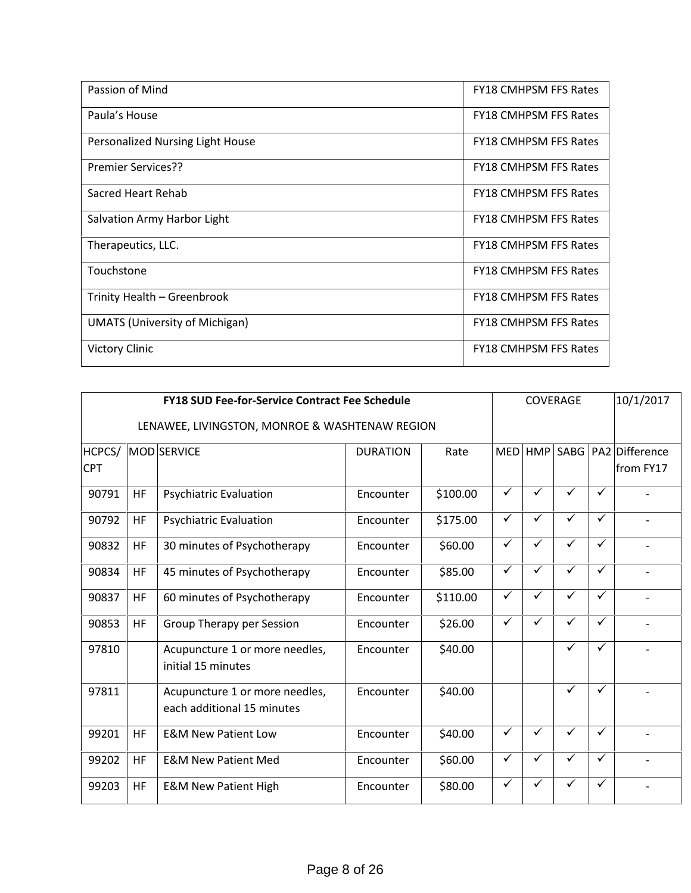| <b>FY18 CMHPSM FFS Rates</b> |
|------------------------------|
| <b>FY18 CMHPSM FFS Rates</b> |
| <b>FY18 CMHPSM FFS Rates</b> |
| <b>FY18 CMHPSM FFS Rates</b> |
| <b>FY18 CMHPSM FFS Rates</b> |
| <b>FY18 CMHPSM FFS Rates</b> |
| <b>FY18 CMHPSM FFS Rates</b> |
| <b>FY18 CMHPSM FFS Rates</b> |
| <b>FY18 CMHPSM FFS Rates</b> |
| <b>FY18 CMHPSM FFS Rates</b> |
| <b>FY18 CMHPSM FFS Rates</b> |
|                              |

| <b>FY18 SUD Fee-for-Service Contract Fee Schedule</b><br>COVERAGE |           |                                                              |                 |          |              |              |              | 10/1/2017    |                                          |
|-------------------------------------------------------------------|-----------|--------------------------------------------------------------|-----------------|----------|--------------|--------------|--------------|--------------|------------------------------------------|
|                                                                   |           | LENAWEE, LIVINGSTON, MONROE & WASHTENAW REGION               |                 |          |              |              |              |              |                                          |
| HCPCS/<br><b>CPT</b>                                              |           | MOD SERVICE                                                  | <b>DURATION</b> | Rate     | <b>MED</b>   |              |              |              | HMP SABG   PA2   Difference<br>from FY17 |
| 90791                                                             | HF        | <b>Psychiatric Evaluation</b>                                | Encounter       | \$100.00 | $\checkmark$ | $\checkmark$ | ✓            | $\checkmark$ |                                          |
| 90792                                                             | <b>HF</b> | <b>Psychiatric Evaluation</b>                                | Encounter       | \$175.00 | $\checkmark$ | $\checkmark$ | $\checkmark$ | $\checkmark$ |                                          |
| 90832                                                             | HF        | 30 minutes of Psychotherapy                                  | Encounter       | \$60.00  | $\checkmark$ | $\checkmark$ | $\checkmark$ | $\checkmark$ | $\blacksquare$                           |
| 90834                                                             | <b>HF</b> | 45 minutes of Psychotherapy                                  | Encounter       | \$85.00  | $\checkmark$ | ✓            | $\checkmark$ | $\checkmark$ |                                          |
| 90837                                                             | <b>HF</b> | 60 minutes of Psychotherapy                                  | Encounter       | \$110.00 | $\checkmark$ | $\checkmark$ | $\checkmark$ | ✓            |                                          |
| 90853                                                             | <b>HF</b> | Group Therapy per Session                                    | Encounter       | \$26.00  | $\checkmark$ | $\checkmark$ | $\checkmark$ | $\checkmark$ | $\overline{\phantom{a}}$                 |
| 97810                                                             |           | Acupuncture 1 or more needles,<br>initial 15 minutes         | Encounter       | \$40.00  |              |              | ✓            | ✓            |                                          |
| 97811                                                             |           | Acupuncture 1 or more needles,<br>each additional 15 minutes | Encounter       | \$40.00  |              |              | $\checkmark$ | ✓            |                                          |
| 99201                                                             | <b>HF</b> | <b>E&amp;M New Patient Low</b>                               | Encounter       | \$40.00  | $\checkmark$ | $\checkmark$ | $\checkmark$ | $\checkmark$ | $\blacksquare$                           |
| 99202                                                             | <b>HF</b> | <b>E&amp;M New Patient Med</b>                               | Encounter       | \$60.00  | $\checkmark$ | ✓            | $\checkmark$ | $\checkmark$ |                                          |
| 99203                                                             | <b>HF</b> | <b>E&amp;M New Patient High</b>                              | Encounter       | \$80.00  | $\checkmark$ | ✓            | ✓            | ✓            |                                          |
|                                                                   |           |                                                              |                 |          |              |              |              |              |                                          |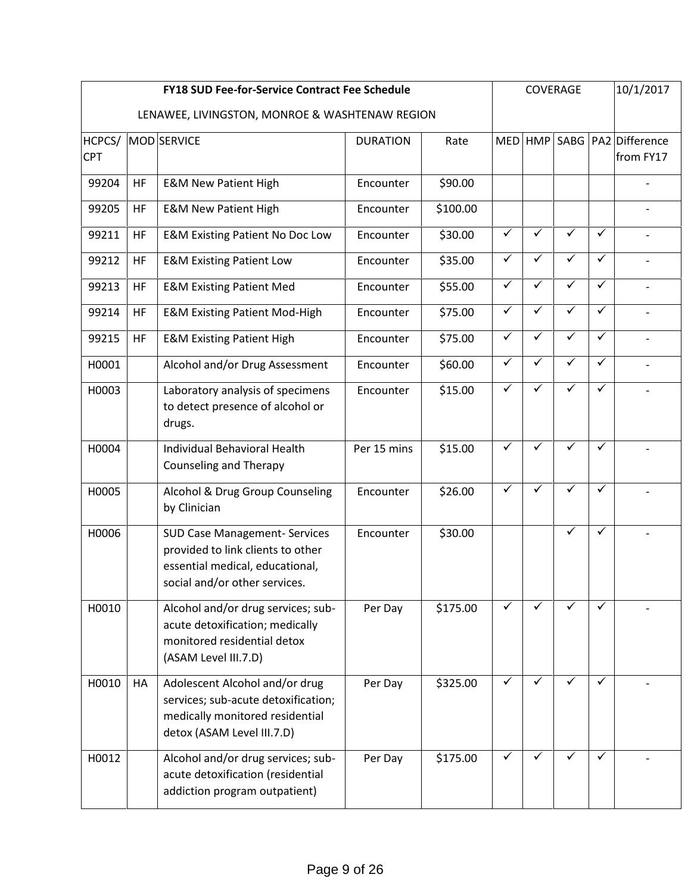|                      |           | <b>FY18 SUD Fee-for-Service Contract Fee Schedule</b>                                                                                         |                 |          |              |              | COVERAGE     |              | 10/1/2017                            |
|----------------------|-----------|-----------------------------------------------------------------------------------------------------------------------------------------------|-----------------|----------|--------------|--------------|--------------|--------------|--------------------------------------|
|                      |           | LENAWEE, LIVINGSTON, MONROE & WASHTENAW REGION                                                                                                |                 |          |              |              |              |              |                                      |
| HCPCS/<br><b>CPT</b> |           | MOD SERVICE                                                                                                                                   | <b>DURATION</b> | Rate     | <b>MED</b>   |              |              |              | HMP SABG PA2 Difference<br>from FY17 |
| 99204                | HF        | <b>E&amp;M New Patient High</b>                                                                                                               | Encounter       | \$90.00  |              |              |              |              |                                      |
| 99205                | HF        | <b>E&amp;M New Patient High</b>                                                                                                               | Encounter       | \$100.00 |              |              |              |              |                                      |
| 99211                | <b>HF</b> | <b>E&amp;M Existing Patient No Doc Low</b>                                                                                                    | Encounter       | \$30.00  | $\checkmark$ | ✓            | ✓            | ✓            |                                      |
| 99212                | <b>HF</b> | <b>E&amp;M Existing Patient Low</b>                                                                                                           | Encounter       | \$35.00  | $\checkmark$ | ✓            | ✓            | ✓            |                                      |
| 99213                | HF        | <b>E&amp;M Existing Patient Med</b>                                                                                                           | Encounter       | \$55.00  | $\checkmark$ | $\checkmark$ | $\checkmark$ | $\checkmark$ |                                      |
| 99214                | <b>HF</b> | <b>E&amp;M Existing Patient Mod-High</b>                                                                                                      | Encounter       | \$75.00  | $\checkmark$ | $\checkmark$ | $\checkmark$ | $\checkmark$ |                                      |
| 99215                | HF        | <b>E&amp;M Existing Patient High</b>                                                                                                          | Encounter       | \$75.00  | $\checkmark$ | $\checkmark$ | $\checkmark$ | ✓            | $\overline{a}$                       |
| H0001                |           | Alcohol and/or Drug Assessment                                                                                                                | Encounter       | \$60.00  | $\checkmark$ | $\checkmark$ | $\checkmark$ | $\checkmark$ | $\overline{\phantom{0}}$             |
| H0003                |           | Laboratory analysis of specimens<br>to detect presence of alcohol or<br>drugs.                                                                | Encounter       | \$15.00  | $\checkmark$ | $\checkmark$ | $\checkmark$ | $\checkmark$ |                                      |
| H0004                |           | Individual Behavioral Health<br><b>Counseling and Therapy</b>                                                                                 | Per 15 mins     | \$15.00  | $\checkmark$ | $\checkmark$ | $\checkmark$ | $\checkmark$ |                                      |
| H0005                |           | Alcohol & Drug Group Counseling<br>by Clinician                                                                                               | Encounter       | \$26.00  | $\checkmark$ | $\checkmark$ | ✓            | $\checkmark$ |                                      |
| H0006                |           | <b>SUD Case Management- Services</b><br>provided to link clients to other<br>essential medical, educational,<br>social and/or other services. | Encounter       | \$30.00  |              |              | $\checkmark$ | ✓            |                                      |
| H0010                |           | Alcohol and/or drug services; sub-<br>acute detoxification; medically<br>monitored residential detox<br>(ASAM Level III.7.D)                  | Per Day         | \$175.00 | $\checkmark$ | ✓            | $\checkmark$ | ✓            |                                      |
| H0010                | HA        | Adolescent Alcohol and/or drug<br>services; sub-acute detoxification;<br>medically monitored residential<br>detox (ASAM Level III.7.D)        | Per Day         | \$325.00 | $\checkmark$ | ✓            | ✓            | ✓            |                                      |
| H0012                |           | Alcohol and/or drug services; sub-<br>acute detoxification (residential<br>addiction program outpatient)                                      | Per Day         | \$175.00 | $\checkmark$ | $\checkmark$ | ✓            | ✓            |                                      |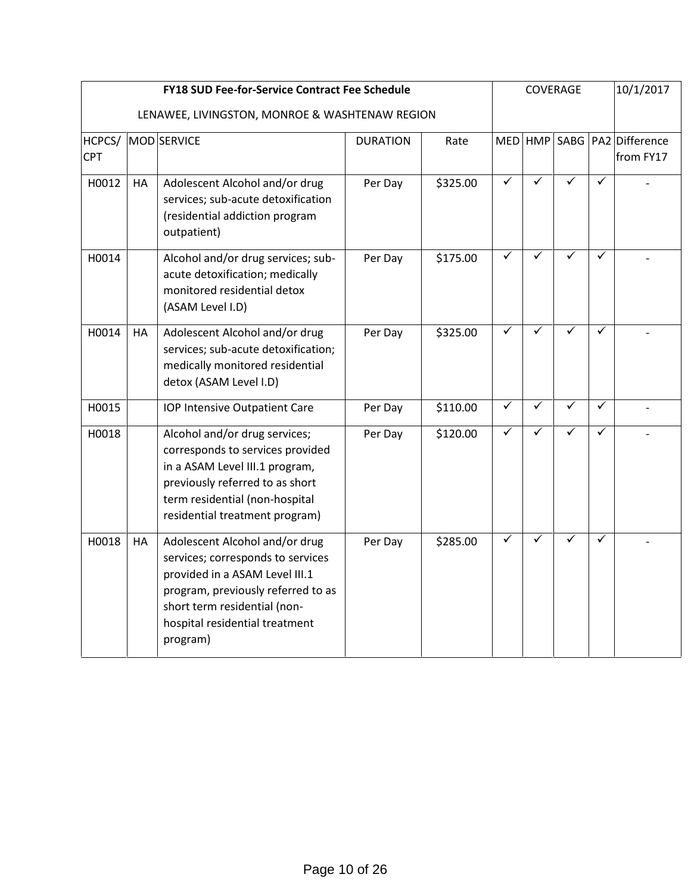|                      |           | <b>FY18 SUD Fee-for-Service Contract Fee Schedule</b>                                                                                                                                                                     |                 |          |                         |              | COVERAGE     |              | 10/1/2017                        |
|----------------------|-----------|---------------------------------------------------------------------------------------------------------------------------------------------------------------------------------------------------------------------------|-----------------|----------|-------------------------|--------------|--------------|--------------|----------------------------------|
|                      |           | LENAWEE, LIVINGSTON, MONROE & WASHTENAW REGION                                                                                                                                                                            |                 |          |                         |              |              |              |                                  |
| HCPCS/<br><b>CPT</b> |           | MOD SERVICE                                                                                                                                                                                                               | <b>DURATION</b> | Rate     | <b>MED</b>              | <b>HMP</b>   |              |              | SABG PA2 Difference<br>from FY17 |
| H0012                | <b>HA</b> | Adolescent Alcohol and/or drug<br>services; sub-acute detoxification<br>(residential addiction program<br>outpatient)                                                                                                     | Per Day         | \$325.00 | $\overline{\checkmark}$ | $\checkmark$ | ✓            | ✓            |                                  |
| H0014                |           | Alcohol and/or drug services; sub-<br>acute detoxification; medically<br>monitored residential detox<br>(ASAM Level I.D)                                                                                                  | Per Day         | \$175.00 | $\overline{\checkmark}$ | ✓            | ✓            | ✓            |                                  |
| H0014                | HA        | Adolescent Alcohol and/or drug<br>services; sub-acute detoxification;<br>medically monitored residential<br>detox (ASAM Level I.D)                                                                                        | Per Day         | \$325.00 | $\checkmark$            | ✓            | ✓            | ✓            |                                  |
| H0015                |           | <b>IOP Intensive Outpatient Care</b>                                                                                                                                                                                      | Per Day         | \$110.00 | $\blacktriangledown$    | $\checkmark$ | $\checkmark$ | $\checkmark$ |                                  |
| H0018                |           | Alcohol and/or drug services;<br>corresponds to services provided<br>in a ASAM Level III.1 program,<br>previously referred to as short<br>term residential (non-hospital<br>residential treatment program)                | Per Day         | \$120.00 | $\blacktriangledown$    | $\checkmark$ | $\checkmark$ | ✓            |                                  |
| H0018                | HA        | Adolescent Alcohol and/or drug<br>services; corresponds to services<br>provided in a ASAM Level III.1<br>program, previously referred to as<br>short term residential (non-<br>hospital residential treatment<br>program) | Per Day         | \$285.00 | ✓                       | ✓            | ✓            | ✓            |                                  |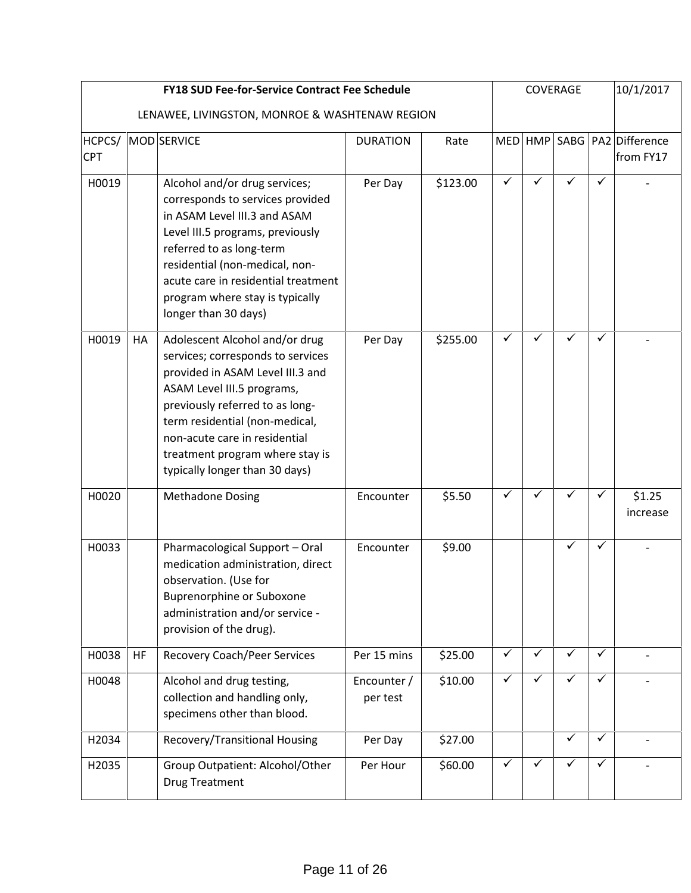|                      |    | <b>FY18 SUD Fee-for-Service Contract Fee Schedule</b>                                                                                                                                                                                                                                                                                   |                         |                      |                              |              | COVERAGE                |              | 10/1/2017                                |
|----------------------|----|-----------------------------------------------------------------------------------------------------------------------------------------------------------------------------------------------------------------------------------------------------------------------------------------------------------------------------------------|-------------------------|----------------------|------------------------------|--------------|-------------------------|--------------|------------------------------------------|
|                      |    | LENAWEE, LIVINGSTON, MONROE & WASHTENAW REGION                                                                                                                                                                                                                                                                                          |                         |                      |                              |              |                         |              |                                          |
| HCPCS/<br><b>CPT</b> |    | MOD SERVICE                                                                                                                                                                                                                                                                                                                             | <b>DURATION</b>         | Rate                 |                              |              |                         |              | MED HMP SABG PA2 Difference<br>from FY17 |
| H0019<br>H0019       | HA | Alcohol and/or drug services;<br>corresponds to services provided<br>in ASAM Level III.3 and ASAM<br>Level III.5 programs, previously<br>referred to as long-term<br>residential (non-medical, non-<br>acute care in residential treatment<br>program where stay is typically<br>longer than 30 days)<br>Adolescent Alcohol and/or drug | Per Day<br>Per Day      | \$123.00<br>\$255.00 | $\checkmark$<br>$\checkmark$ | ✓<br>✓       | ✓<br>✓                  | ✓<br>✓       |                                          |
|                      |    | services; corresponds to services<br>provided in ASAM Level III.3 and<br>ASAM Level III.5 programs,<br>previously referred to as long-<br>term residential (non-medical,<br>non-acute care in residential<br>treatment program where stay is<br>typically longer than 30 days)                                                          |                         |                      |                              |              |                         |              |                                          |
| H0020                |    | <b>Methadone Dosing</b>                                                                                                                                                                                                                                                                                                                 | Encounter               | \$5.50               | $\checkmark$                 | ✓            | $\checkmark$            | ✓            | \$1.25<br>increase                       |
| H0033                |    | Pharmacological Support - Oral<br>medication administration, direct<br>observation. (Use for<br><b>Buprenorphine or Suboxone</b><br>administration and/or service -<br>provision of the drug).                                                                                                                                          | Encounter               | \$9.00               |                              |              | ✓                       | ✓            |                                          |
| H0038                | HF | <b>Recovery Coach/Peer Services</b>                                                                                                                                                                                                                                                                                                     | Per 15 mins             | \$25.00              | $\checkmark$                 | $\checkmark$ | $\checkmark$            | ✓            |                                          |
| H0048                |    | Alcohol and drug testing,<br>collection and handling only,<br>specimens other than blood.                                                                                                                                                                                                                                               | Encounter /<br>per test | \$10.00              | $\checkmark$                 | $\checkmark$ | $\checkmark$            | $\checkmark$ |                                          |
| H2034                |    | Recovery/Transitional Housing                                                                                                                                                                                                                                                                                                           | Per Day                 | \$27.00              |                              |              | $\overline{\checkmark}$ | $\checkmark$ |                                          |
| H2035                |    | Group Outpatient: Alcohol/Other<br><b>Drug Treatment</b>                                                                                                                                                                                                                                                                                | Per Hour                | \$60.00              | $\checkmark$                 | $\checkmark$ | $\checkmark$            | $\checkmark$ |                                          |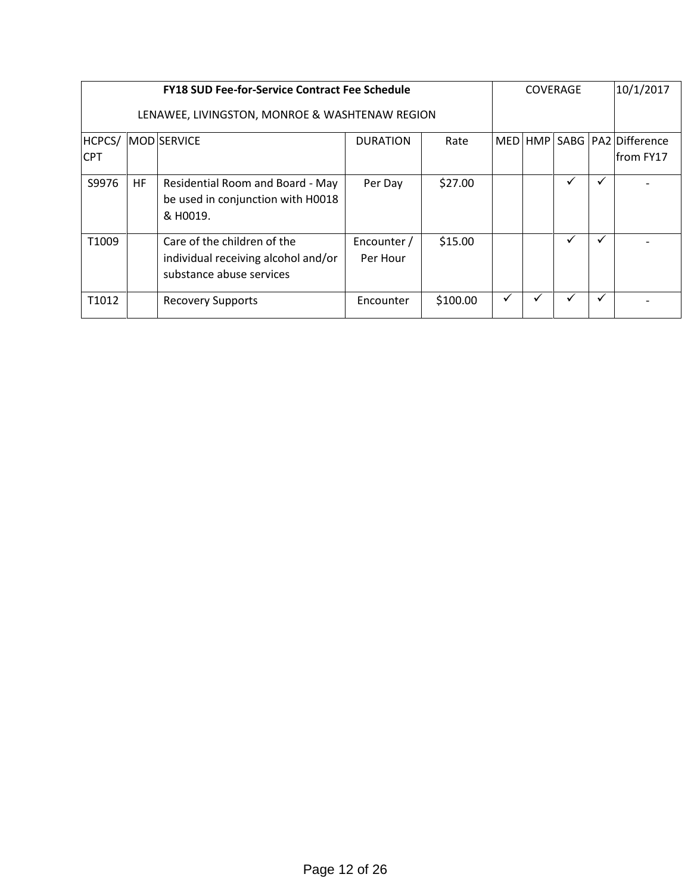|                      | <b>FY18 SUD Fee-for-Service Contract Fee Schedule</b> |                                                                                                |                         |          |            |  |   | <b>COVERAGE</b> |                                            |  |  |
|----------------------|-------------------------------------------------------|------------------------------------------------------------------------------------------------|-------------------------|----------|------------|--|---|-----------------|--------------------------------------------|--|--|
|                      | LENAWEE, LIVINGSTON, MONROE & WASHTENAW REGION        |                                                                                                |                         |          |            |  |   |                 |                                            |  |  |
| HCPCS/<br><b>CPT</b> |                                                       | <b>MOD SERVICE</b>                                                                             | <b>DURATION</b>         | Rate     | <b>MED</b> |  |   |                 | HMP   SABG   PA2   Difference<br>from FY17 |  |  |
| S9976                | <b>HF</b>                                             | Residential Room and Board - May<br>be used in conjunction with H0018<br>& H0019.              | Per Day                 | \$27.00  |            |  | ✓ | v               |                                            |  |  |
| T1009                |                                                       | Care of the children of the<br>individual receiving alcohol and/or<br>substance abuse services | Encounter /<br>Per Hour | \$15.00  |            |  | ✓ | v               |                                            |  |  |
| T1012                |                                                       | <b>Recovery Supports</b>                                                                       | Encounter               | \$100.00 | ✓          |  | ✓ |                 |                                            |  |  |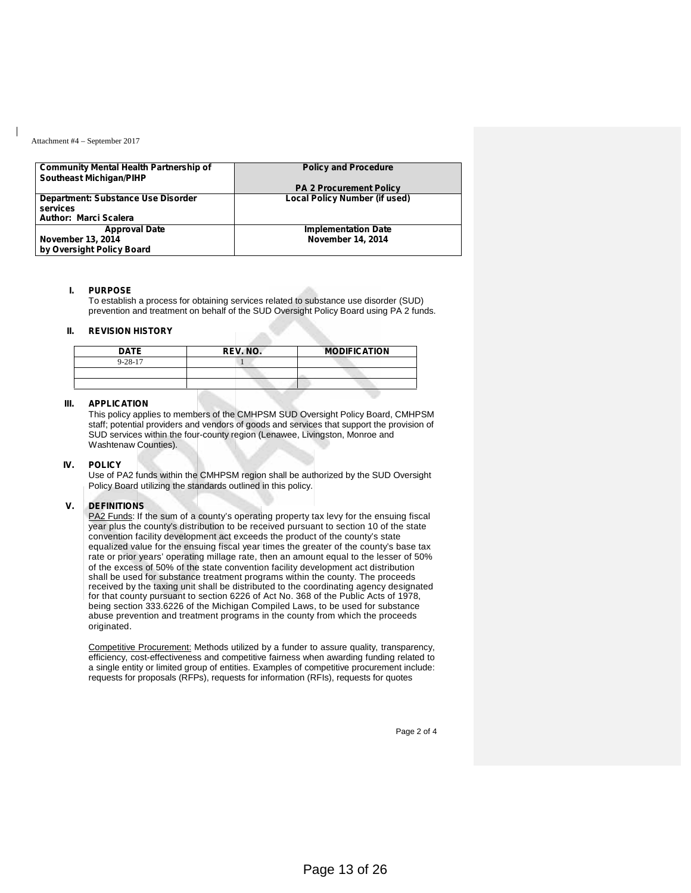| <b>Community Mental Health Partnership of</b><br><b>Southeast Michigan/PIHP</b> | <b>Policy and Procedure</b>                            |
|---------------------------------------------------------------------------------|--------------------------------------------------------|
|                                                                                 | <b>PA 2 Procurement Policy</b>                         |
| Department: Substance Use Disorder<br>services<br><b>Author: Marci Scalera</b>  | <b>Local Policy Number (if used)</b>                   |
| <b>Approval Date</b><br><b>November 13, 2014</b><br>by Oversight Policy Board   | <b>Implementation Date</b><br><b>November 14, 2014</b> |

#### **I. PURPOSE**

To establish a process for obtaining services related to substance use disorder (SUD) prevention and treatment on behalf of the SUD Oversight Policy Board using PA 2 funds.

#### **II. REVISION HISTORY**

| <b>DATE</b>   | <b>REV. NO.</b> | <b>MODIFICATION</b> |
|---------------|-----------------|---------------------|
| $9 - 28 - 17$ |                 |                     |
|               |                 |                     |
|               |                 |                     |

#### **III. APPLICATION**

This policy applies to members of the CMHPSM SUD Oversight Policy Board, CMHPSM staff; potential providers and vendors of goods and services that support the provision of SUD services within the four-county region (Lenawee, Livingston, Monroe and Washtenaw Counties).

#### **IV. POLICY**

Use of PA2 funds within the CMHPSM region shall be authorized by the SUD Oversight Policy Board utilizing the standards outlined in this policy.

#### **V. DEFINITIONS**

PA2 Funds: If the sum of a county's operating property tax levy for the ensuing fiscal year plus the county's distribution to be received pursuant to section 10 of the state convention facility development act exceeds the product of the county's state equalized value for the ensuing fiscal year times the greater of the county's base tax rate or prior years' operating millage rate, then an amount equal to the lesser of 50% of the excess of 50% of the state convention facility development act distribution shall be used for substance treatment programs within the county. The proceeds received by the taxing unit shall be distributed to the coordinating agency designated for that county pursuant to section 6226 of Act No. 368 of the Public Acts of 1978, being section 333.6226 of the Michigan Compiled Laws, to be used for substance abuse prevention and treatment programs in the county from which the proceeds originated.

Competitive Procurement: Methods utilized by a funder to assure quality, transparency, efficiency, cost-effectiveness and competitive fairness when awarding funding related to a single entity or limited group of entities. Examples of competitive procurement include: requests for proposals (RFPs), requests for information (RFIs), requests for quotes

Page 2 of 4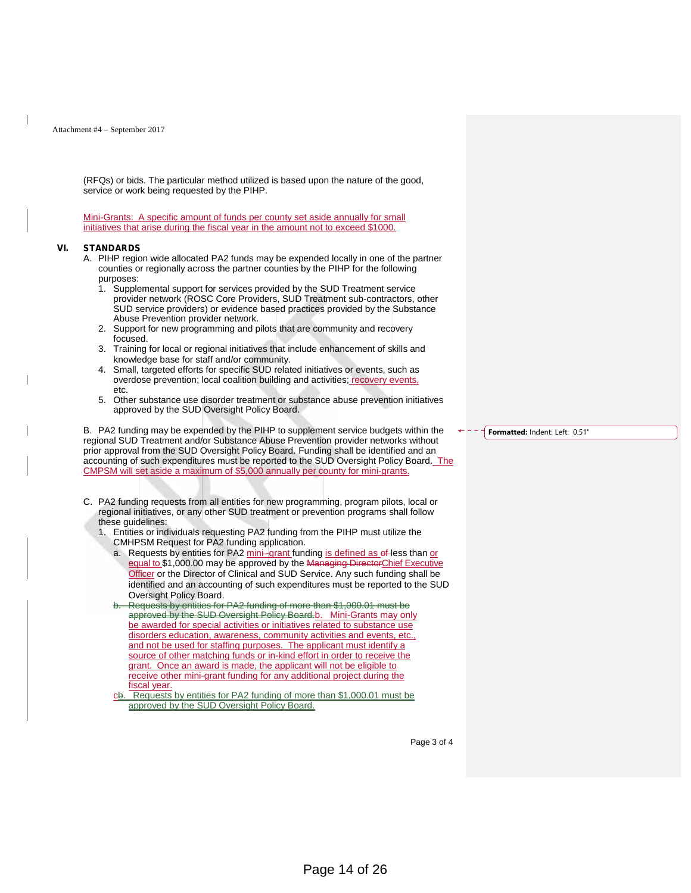(RFQs) or bids. The particular method utilized is based upon the nature of the good,

Mini-Grants: A specific amount of funds per county set aside annually for small initiatives that arise during the fiscal year in the amount not to exceed \$1000.

#### **VI. STANDARDS**

- A. PIHP region wide allocated PA2 funds may be expended locally in one of the partner counties or regionally across the partner counties by the PIHP for the following purposes:
	- 1. Supplemental support for services provided by the SUD Treatment service provider network (ROSC Core Providers, SUD Treatment sub-contractors, other SUD service providers) or evidence based practices provided by the Substance Abuse Prevention provider network.
	- 2. Support for new programming and pilots that are community and recovery focused.
	- 3. Training for local or regional initiatives that include enhancement of skills and knowledge base for staff and/or community.
	- 4. Small, targeted efforts for specific SUD related initiatives or events, such as overdose prevention; local coalition building and activities; recovery events, etc.
	- 5. Other substance use disorder treatment or substance abuse prevention initiatives approved by the SUD Oversight Policy Board.

B. PA2 funding may be expended by the PIHP to supplement service budgets within the regional SUD Treatment and/or Substance Abuse Prevention provider networks without prior approval from the SUD Oversight Policy Board. Funding shall be identified and an accounting of such expenditures must be reported to the SUD Oversight Policy Board. The CMPSM will set aside a maximum of \$5,000 annually per county for mini-grants.

- C. PA2 funding requests from all entities for new programming, program pilots, local or regional initiatives, or any other SUD treatment or prevention programs shall follow these guidelines:
	- 1. Entities or individuals requesting PA2 funding from the PIHP must utilize the CMHPSM Request for PA2 funding application.
		- a. Requests by entities for PA2 mini-grant funding is defined as of less than or equal to \$1,000.00 may be approved by the Managing DirectorChief Executive **Officer** or the Director of Clinical and SUD Service. Any such funding shall be identified and an accounting of such expenditures must be reported to the SUD Oversight Policy Board.
		- b. Requests by entities for PA2 funding of more than \$1,000.01 must be approved by the SUD Oversight Policy Board.<u>b. Mini-Grants may only</u> be awarded for special activities or initiatives related to substance use disorders education, awareness, community activities and events, etc., and not be used for staffing purposes. The applicant must identify a source of other matching funds or in-kind effort in order to receive the grant. Once an award is made, the applicant will not be eligible to receive other mini-grant funding for any additional project during the fiscal year.
		- Requests by entities for PA2 funding of more than \$1,000.01 must be approved by the SUD Oversight Policy Board.

**Formatted:** Indent: Left: 0.51"

Page 3 of 4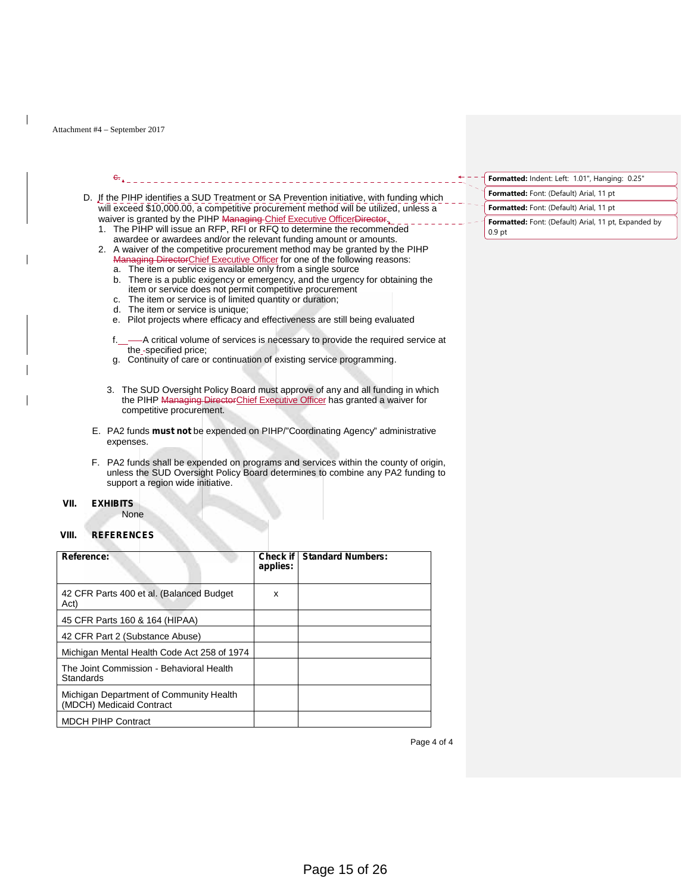$\frac{c}{\sqrt{a}}$ 

#### D. If the PIHP identifies a SUD Treatment or SA Prevention initiative, with funding which will exceed \$10,000.00, a competitive procurement method will be utilized, unless a waiver is granted by the PIHP Managing Chief Executive OfficerDirector.

- 1. The PIHP will issue an RFP, RFI or RFQ to determine the recommended awardee or awardees and/or the relevant funding amount or amounts.
- 2. A waiver of the competitive procurement method may be granted by the PIHP Managing DirectorChief Executive Officer for one of the following reasons:
	- a. The item or service is available only from a single source
	- b. There is a public exigency or emergency, and the urgency for obtaining the item or service does not permit competitive procurement
	- c. The item or service is of limited quantity or duration; d. The item or service is unique;
	- The item or service is unique;
	- e. Pilot projects where efficacy and effectiveness are still being evaluated
	- f.\_\_-A critical volume of services is necessary to provide the required service at the\_-specified price;
	- g. Continuity of care or continuation of existing service programming.
	- 3. The SUD Oversight Policy Board must approve of any and all funding in which the PIHP Managing DirectorChief Executive Officer has granted a waiver for competitive procurement.
- E. PA2 funds **must not** be expended on PIHP/"Coordinating Agency" administrative expenses.
- F. PA2 funds shall be expended on programs and services within the county of origin, unless the SUD Oversight Policy Board determines to combine any PA2 funding to support a region wide initiative.

#### **VII. EXHIBITS**

#### **VIII. REFERENCES**

None

| Reference:                                                          | applies: | <b>Check if   Standard Numbers:</b> |
|---------------------------------------------------------------------|----------|-------------------------------------|
| 42 CFR Parts 400 et al. (Balanced Budget)<br>Act)                   | x        |                                     |
| 45 CFR Parts 160 & 164 (HIPAA)                                      |          |                                     |
| 42 CFR Part 2 (Substance Abuse)                                     |          |                                     |
| Michigan Mental Health Code Act 258 of 1974                         |          |                                     |
| The Joint Commission - Behavioral Health<br>Standards               |          |                                     |
| Michigan Department of Community Health<br>(MDCH) Medicaid Contract |          |                                     |
| <b>MDCH PIHP Contract</b>                                           |          |                                     |

**Formatted:** Indent: Left: 1.01", Hanging: 0.25"

- **Formatted:** Font: (Default) Arial, 11 pt
- **Formatted:** Font: (Default) Arial, 11 pt
- **Formatted:** Font: (Default) Arial, 11 pt, Expanded by 0.9 pt

Page 4 of 4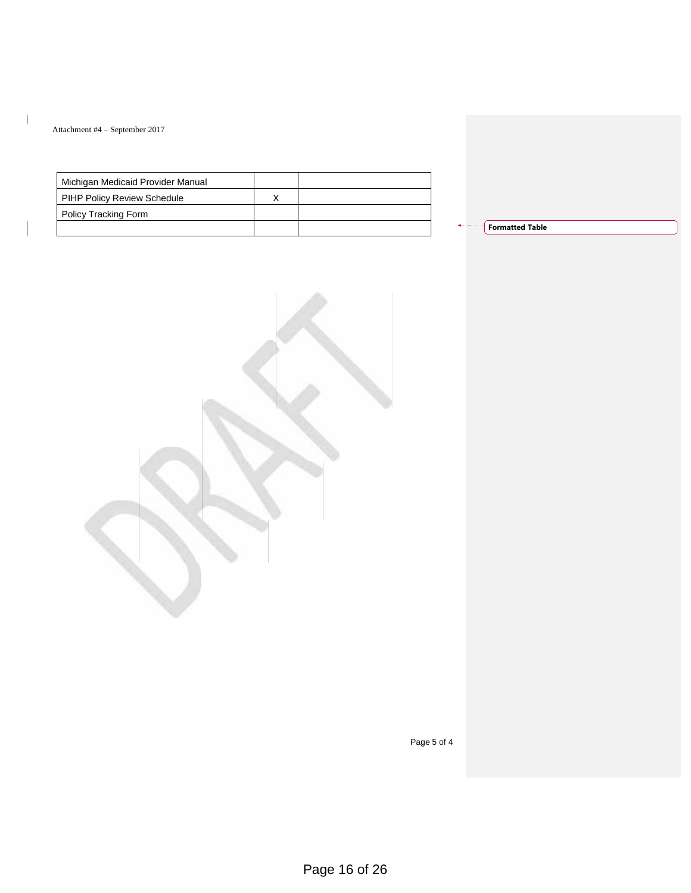$\mathbf{I}$ 

| Michigan Medicaid Provider Manual |  |
|-----------------------------------|--|
| PIHP Policy Review Schedule       |  |
| Policy Tracking Form              |  |
|                                   |  |

| <b>Formatted Table</b> |  |  |
|------------------------|--|--|
|                        |  |  |

Page 5 of 4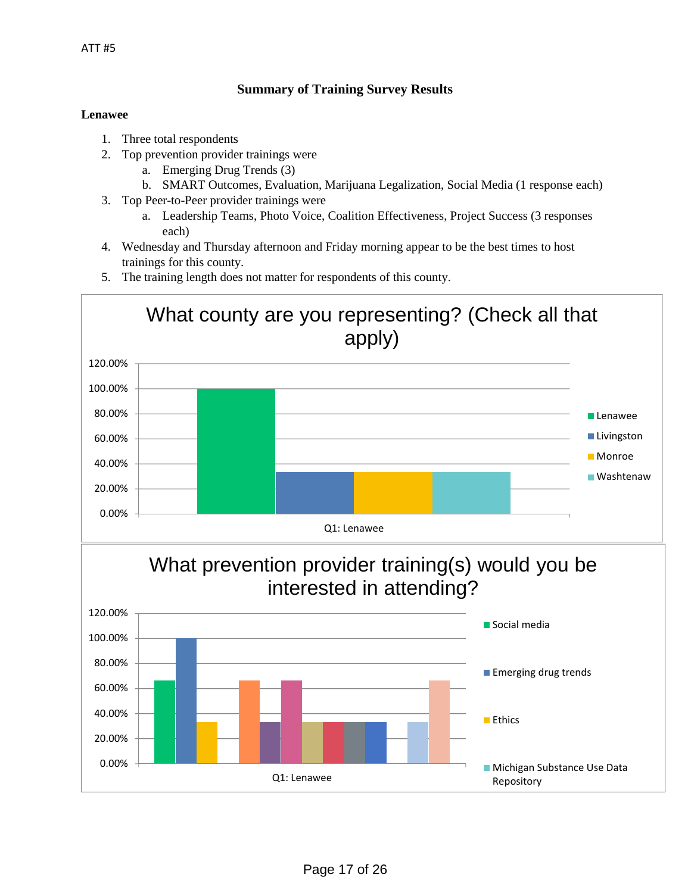## **Summary of Training Survey Results**

## **Lenawee**

- 1. Three total respondents
- 2. Top prevention provider trainings were
	- a. Emerging Drug Trends (3)
	- b. SMART Outcomes, Evaluation, Marijuana Legalization, Social Media (1 response each)
- 3. Top Peer-to-Peer provider trainings were
	- a. Leadership Teams, Photo Voice, Coalition Effectiveness, Project Success (3 responses each)
- 4. Wednesday and Thursday afternoon and Friday morning appear to be the best times to host trainings for this county.
- 5. The training length does not matter for respondents of this county.

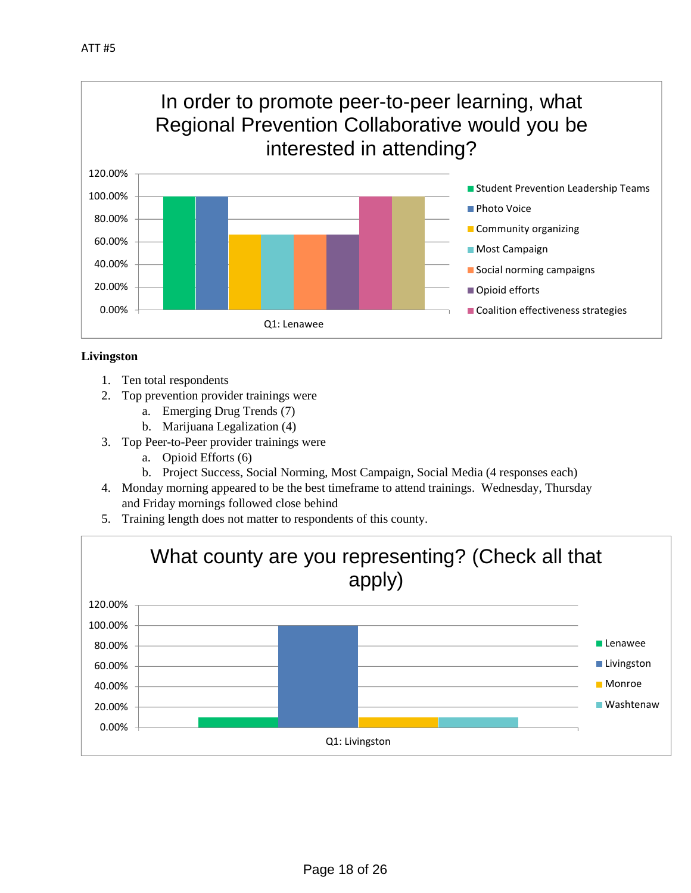

## **Livingston**

- 1. Ten total respondents
- 2. Top prevention provider trainings were
	- a. Emerging Drug Trends (7)
	- b. Marijuana Legalization (4)
- 3. Top Peer-to-Peer provider trainings were
	- a. Opioid Efforts (6)
	- b. Project Success, Social Norming, Most Campaign, Social Media (4 responses each)
- 4. Monday morning appeared to be the best timeframe to attend trainings. Wednesday, Thursday and Friday mornings followed close behind
- 5. Training length does not matter to respondents of this county.

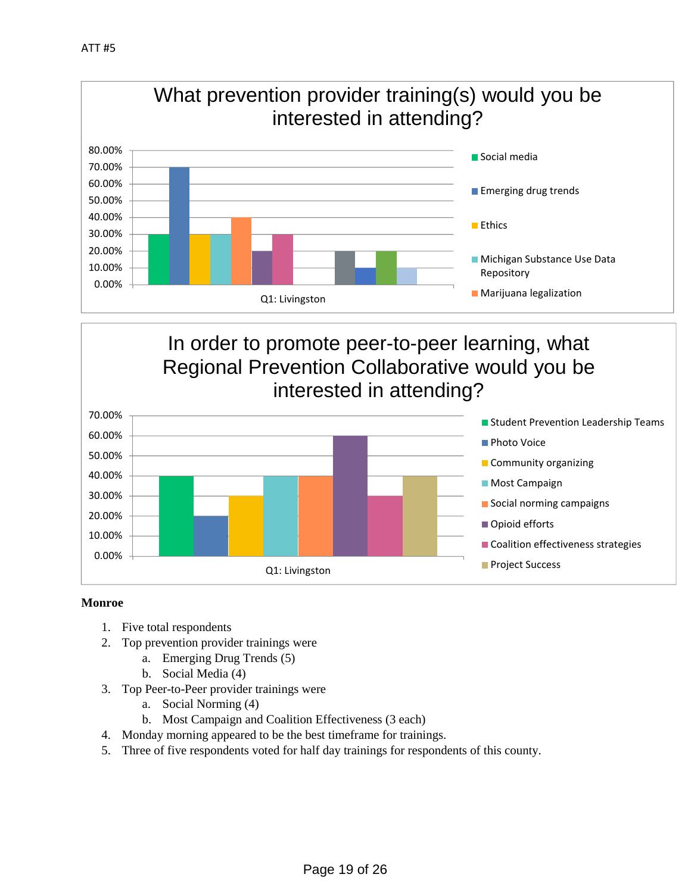

# In order to promote peer-to-peer learning, what Regional Prevention Collaborative would you be interested in attending?



## **Monroe**

- 1. Five total respondents
- 2. Top prevention provider trainings were
	- a. Emerging Drug Trends (5)
	- b. Social Media (4)
- 3. Top Peer-to-Peer provider trainings were
	- a. Social Norming (4)
	- b. Most Campaign and Coalition Effectiveness (3 each)
- 4. Monday morning appeared to be the best timeframe for trainings.
- 5. Three of five respondents voted for half day trainings for respondents of this county.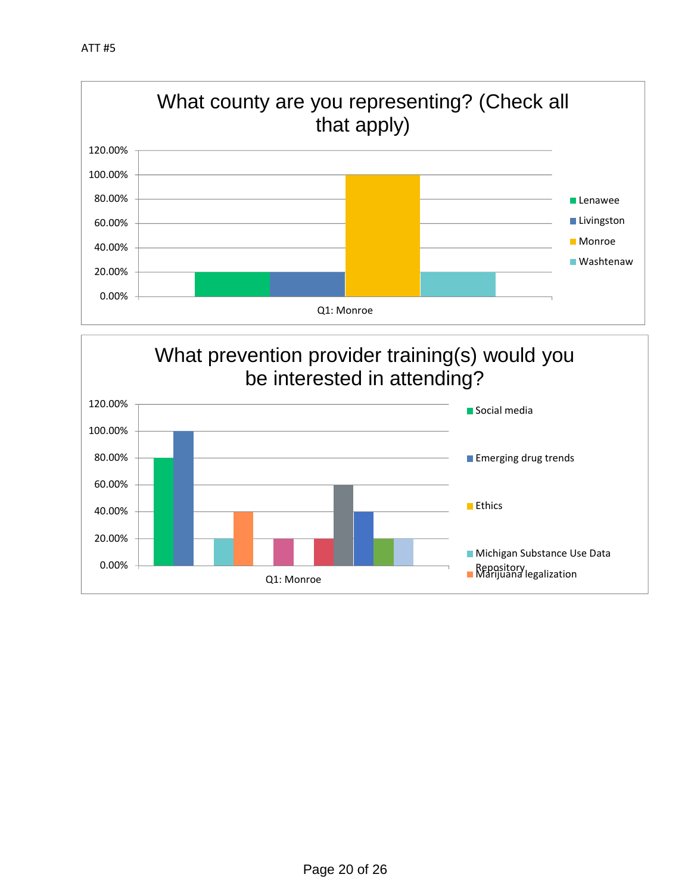

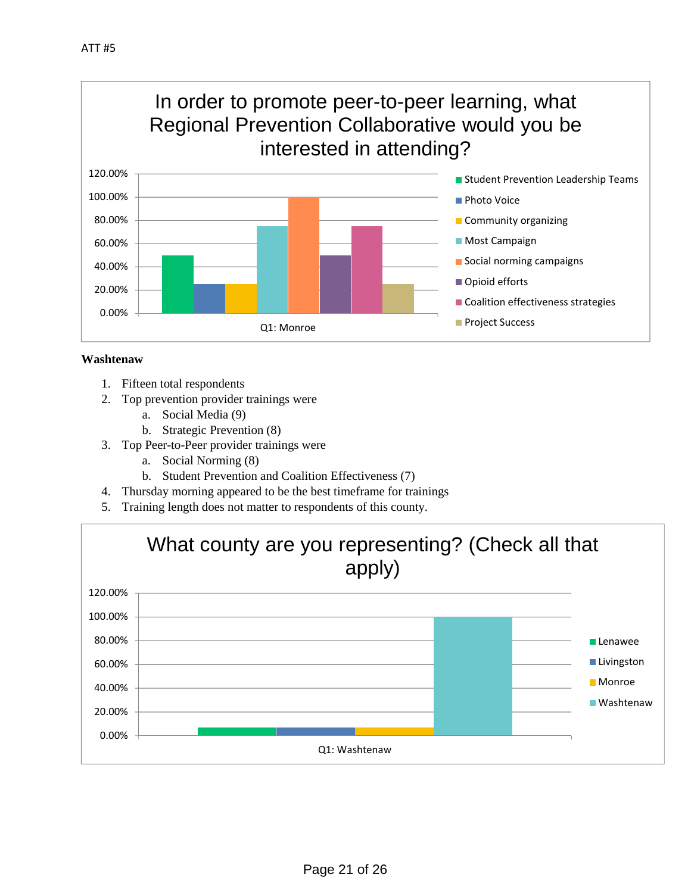

## **Washtenaw**

- 1. Fifteen total respondents
- 2. Top prevention provider trainings were
	- a. Social Media (9)
	- b. Strategic Prevention (8)
- 3. Top Peer-to-Peer provider trainings were
	- a. Social Norming (8)
	- b. Student Prevention and Coalition Effectiveness (7)
- 4. Thursday morning appeared to be the best timeframe for trainings
- 5. Training length does not matter to respondents of this county.

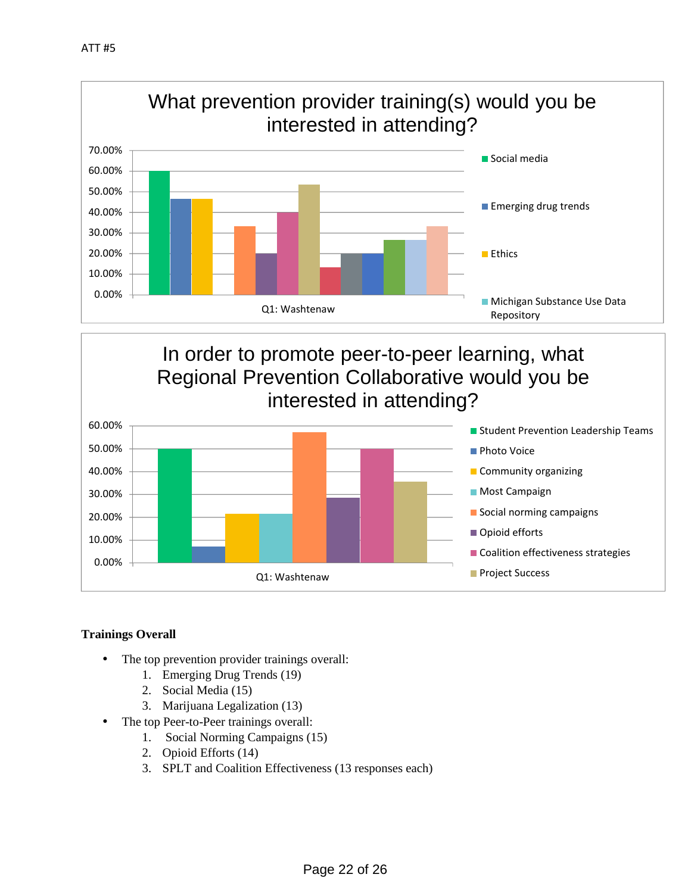

# In order to promote peer-to-peer learning, what Regional Prevention Collaborative would you be interested in attending?



# **Trainings Overall**

- The top prevention provider trainings overall:
	- 1. Emerging Drug Trends (19)
	- 2. Social Media (15)
	- 3. Marijuana Legalization (13)
- The top Peer-to-Peer trainings overall:
	- 1. Social Norming Campaigns (15)
	- 2. Opioid Efforts (14)
	- 3. SPLT and Coalition Effectiveness (13 responses each)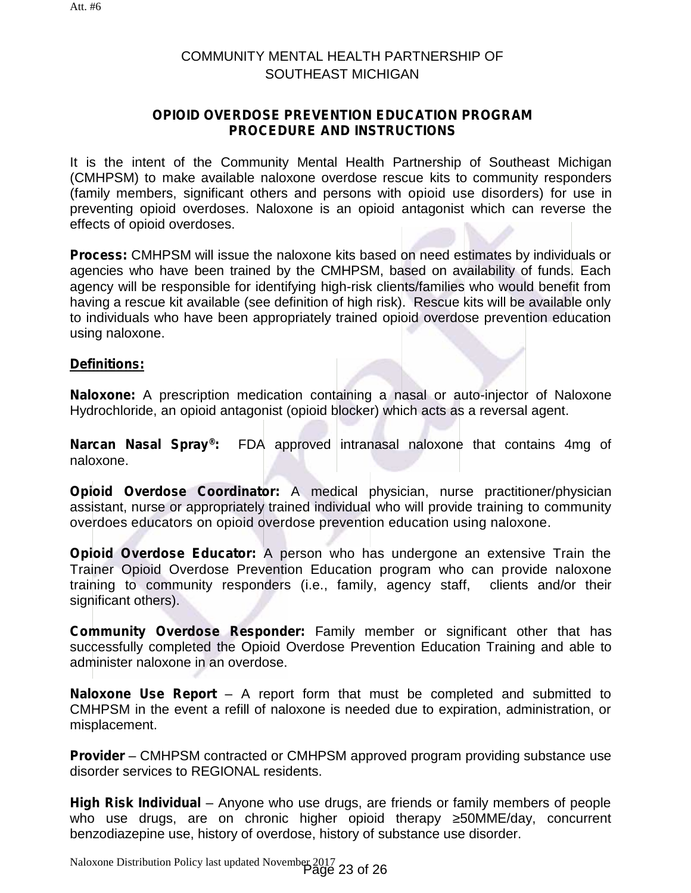# COMMUNITY MENTAL HEALTH PARTNERSHIP OF SOUTHEAST MICHIGAN

# **OPIOID OVERDOSE PREVENTION EDUCATION PROGRAM PROCEDURE AND INSTRUCTIONS**

It is the intent of the Community Mental Health Partnership of Southeast Michigan (CMHPSM) to make available naloxone overdose rescue kits to community responders (family members, significant others and persons with opioid use disorders) for use in preventing opioid overdoses. Naloxone is an opioid antagonist which can reverse the effects of opioid overdoses.

**Process:** CMHPSM will issue the naloxone kits based on need estimates by individuals or agencies who have been trained by the CMHPSM, based on availability of funds. Each agency will be responsible for identifying high-risk clients/families who would benefit from having a rescue kit available (see definition of high risk). Rescue kits will be available only to individuals who have been appropriately trained opioid overdose prevention education using naloxone.

## **Definitions:**

**Naloxone:** A prescription medication containing a nasal or auto-injector of Naloxone Hydrochloride, an opioid antagonist (opioid blocker) which acts as a reversal agent.

**Narcan Nasal Spray®:** FDA approved intranasal naloxone that contains 4mg of naloxone.

**Opioid Overdose Coordinator:** A medical physician, nurse practitioner/physician assistant, nurse or appropriately trained individual who will provide training to community overdoes educators on opioid overdose prevention education using naloxone.

**Opioid Overdose Educator:** A person who has undergone an extensive Train the Trainer Opioid Overdose Prevention Education program who can provide naloxone training to community responders (i.e., family, agency staff, clients and/or their significant others).

**Community Overdose Responder:** Family member or significant other that has successfully completed the Opioid Overdose Prevention Education Training and able to administer naloxone in an overdose.

**Naloxone Use Report** – A report form that must be completed and submitted to CMHPSM in the event a refill of naloxone is needed due to expiration, administration, or misplacement.

**Provider** – CMHPSM contracted or CMHPSM approved program providing substance use disorder services to REGIONAL residents.

**High Risk Individual** – Anyone who use drugs, are friends or family members of people who use drugs, are on chronic higher opioid therapy 50MME/day, concurrent benzodiazepine use, history of overdose, history of substance use disorder.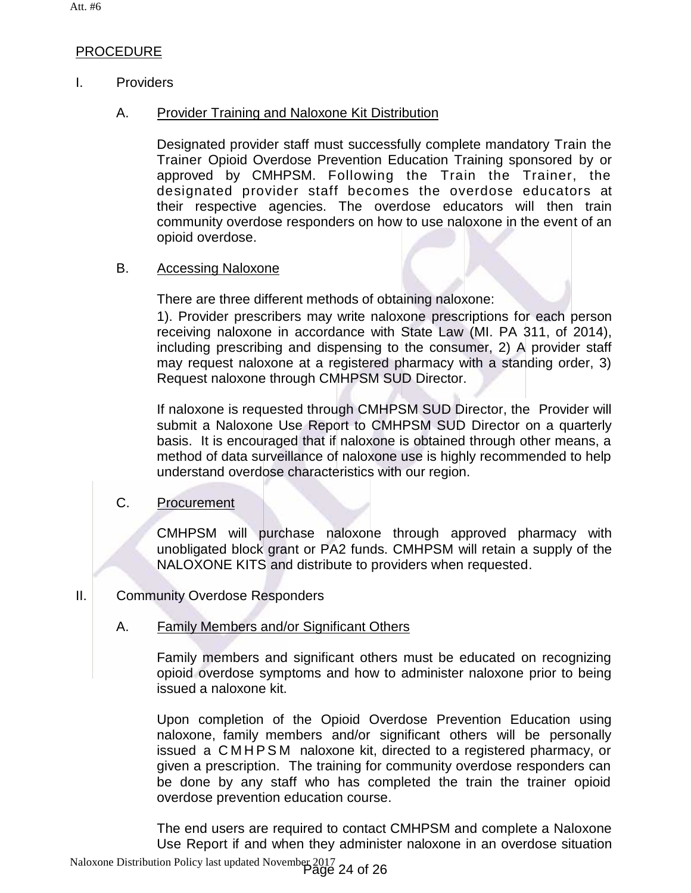# PROCEDURE

# I. Providers

## A. Provider Training and Naloxone Kit Distribution

Designated provider staff must successfully complete mandatory Train the Trainer Opioid Overdose Prevention Education Training sponsored by or approved by CMHPSM. Following the Train the Trainer, the designated provider staff becomes the overdose educators at their respective agencies. The overdose educators will then train community overdose responders on how to use naloxone in the event of an opioid overdose.

## B. Accessing Naloxone

There are three different methods of obtaining naloxone:

1). Provider prescribers may write naloxone prescriptions for each person receiving naloxone in accordance with State Law (MI. PA 311, of 2014), including prescribing and dispensing to the consumer, 2) A provider staff may request naloxone at a registered pharmacy with a standing order, 3) Request naloxone through CMHPSM SUD Director.

If naloxone is requested through CMHPSM SUD Director, the Provider will submit a Naloxone Use Report to CMHPSM SUD Director on a quarterly basis. It is encouraged that if naloxone is obtained through other means, a method of data surveillance of naloxone use is highly recommended to help understand overdose characteristics with our region.

# C. Procurement

CMHPSM will purchase naloxone through approved pharmacy with unobligated block grant or PA2 funds. CMHPSM will retain a supply of the NALOXONE KITS and distribute to providers when requested.

## II. Community Overdose Responders

# A. Family Members and/or Significant Others

Family members and significant others must be educated on recognizing opioid overdose symptoms and how to administer naloxone prior to being issued a naloxone kit.

Upon completion of the Opioid Overdose Prevention Education using naloxone, family members and/or significant others willbe personally opioid overdose symptoms and how to administer naloxone prior to being<br>issued a naloxone kit.<br>Upon completion of the Opioid Overdose Prevention Education using<br>naloxone, family members and/or significant others will be per given a prescription. The training for community overdose responders can be done by any staff who has completed the train the trainer opioid overdose prevention education course.

The end users are required to contact CMHPSM and complete a Naloxone Use Report if and when they administer naloxone in an overdose situation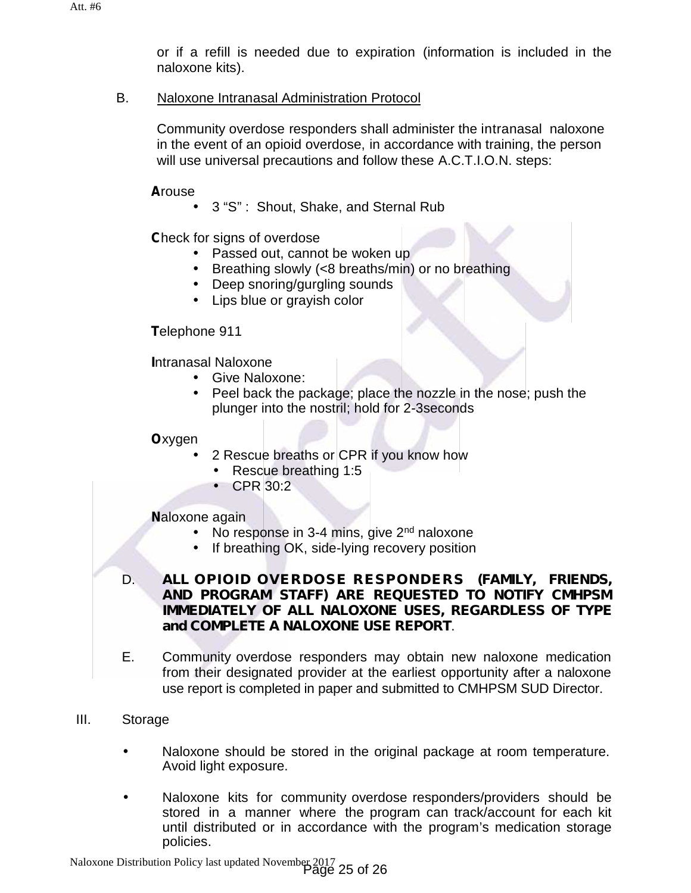or if a refill is needed due to expiration (information is included in the naloxone kits).

# B. Naloxone Intranasal Administration Protocol

Community overdose responders shall administer the intranasal naloxone in the event of an opioid overdose, in accordance with training, the person will use universal precautions and follow these A.C.T.I.O.N. steps:

**A**rouse

3 "S" : Shout, Shake, and Sternal Rub

**C**heck for signs of overdose

- Passed out, cannot be woken up
- Breathing slowly (<8 breaths/min) or no breathing
- Deep snoring/gurgling sounds
- Lips blue or grayish color

**T**elephone 911

**I**ntranasal Naloxone

- Give Naloxone:
- Peel back the package; place the nozzle in the nose; push the plunger into the nostril; hold for 2-3seconds

# **O**xygen

- 2 Rescue breaths or CPR if you know how
	- Rescue breathing 1:5
	- CPR 30:2

# **N**aloxone again

- No response in 3-4 mins, give 2<sup>nd</sup> naloxone
- If breathing OK, side-lying recovery position
- D. *ALL OPIOID OVERDOSE RESPONDERS (FAMILY, FRIENDS, AND PROGRAM STAFF) ARE REQUESTED TO NOTIFY CMHPSM IMMEDIATELY OF ALL NALOXONE USES, REGARDLESS OF TYPE and COMPLETE A NALOXONE USE REPORT*.
- E. Community overdose responders may obtain new naloxone medication from their designated provider at the earliest opportunity after a naloxone use report is completed in paper and submitted to CMHPSM SUD Director.
- III. Storage
	- Naloxone should be stored in the original package at room temperature. Avoid light exposure.
	- Naloxone kits for community overdose responders/providers should be stored in a manner where the program can track/account for each kit until distributed or in accordance with the program's medication storage policies.